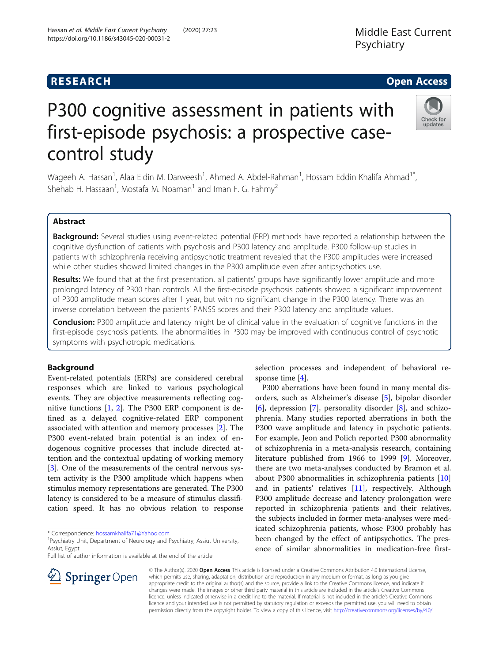# **RESEARCH CHE Open Access**

# P300 cognitive assessment in patients with first-episode psychosis: a prospective casecontrol study

Wageeh A. Hassan<sup>1</sup>, Alaa Eldin M. Darweesh<sup>1</sup>, Ahmed A. Abdel-Rahman<sup>1</sup>, Hossam Eddin Khalifa Ahmad<sup>1\*</sup>, Shehab H. Hassaan<sup>1</sup>, Mostafa M. Noaman<sup>1</sup> and Iman F. G. Fahmy<sup>2</sup>

# Abstract

Background: Several studies using event-related potential (ERP) methods have reported a relationship between the cognitive dysfunction of patients with psychosis and P300 latency and amplitude. P300 follow-up studies in patients with schizophrenia receiving antipsychotic treatment revealed that the P300 amplitudes were increased while other studies showed limited changes in the P300 amplitude even after antipsychotics use.

Results: We found that at the first presentation, all patients' groups have significantly lower amplitude and more prolonged latency of P300 than controls. All the first-episode psychosis patients showed a significant improvement of P300 amplitude mean scores after 1 year, but with no significant change in the P300 latency. There was an inverse correlation between the patients' PANSS scores and their P300 latency and amplitude values.

**Conclusion:** P300 amplitude and latency might be of clinical value in the evaluation of cognitive functions in the first-episode psychosis patients. The abnormalities in P300 may be improved with continuous control of psychotic symptoms with psychotropic medications.

# Background

Event-related potentials (ERPs) are considered cerebral responses which are linked to various psychological events. They are objective measurements reflecting cognitive functions [[1,](#page-6-0) [2\]](#page-6-0). The P300 ERP component is defined as a delayed cognitive-related ERP component associated with attention and memory processes [\[2](#page-6-0)]. The P300 event-related brain potential is an index of endogenous cognitive processes that include directed attention and the contextual updating of working memory [[3\]](#page-6-0). One of the measurements of the central nervous system activity is the P300 amplitude which happens when stimulus memory representations are generated. The P300 latency is considered to be a measure of stimulus classification speed. It has no obvious relation to response

\* Correspondence: [hossamkhalifa71@Yahoo.com](mailto:hossamkhalifa71@Yahoo.com) <sup>1</sup>

 $\mathscr{L}$  Springer Open

Full list of author information is available at the end of the article

selection processes and independent of behavioral response time [\[4](#page-6-0)].

P300 aberrations have been found in many mental disorders, such as Alzheimer's disease [\[5](#page-6-0)], bipolar disorder [[6\]](#page-6-0), depression [[7\]](#page-6-0), personality disorder [\[8](#page-6-0)], and schizophrenia. Many studies reported aberrations in both the P300 wave amplitude and latency in psychotic patients. For example, Jeon and Polich reported P300 abnormality of schizophrenia in a meta-analysis research, containing literature published from 1966 to 1999 [\[9](#page-6-0)]. Moreover, there are two meta-analyses conducted by Bramon et al. about P300 abnormalities in schizophrenia patients [[10](#page-6-0)] and in patients' relatives [\[11\]](#page-6-0), respectively. Although P300 amplitude decrease and latency prolongation were reported in schizophrenia patients and their relatives, the subjects included in former meta-analyses were medicated schizophrenia patients, whose P300 probably has been changed by the effect of antipsychotics. The presence of similar abnormalities in medication-free first-

© The Author(s). 2020 Open Access This article is licensed under a Creative Commons Attribution 4.0 International License, which permits use, sharing, adaptation, distribution and reproduction in any medium or format, as long as you give appropriate credit to the original author(s) and the source, provide a link to the Creative Commons licence, and indicate if changes were made. The images or other third party material in this article are included in the article's Creative Commons licence, unless indicated otherwise in a credit line to the material. If material is not included in the article's Creative Commons licence and your intended use is not permitted by statutory regulation or exceeds the permitted use, you will need to obtain permission directly from the copyright holder. To view a copy of this licence, visit <http://creativecommons.org/licenses/by/4.0/>.



<sup>&</sup>lt;sup>1</sup> Psychiatry Unit, Department of Neurology and Psychiatry, Assiut University, Assiut, Egypt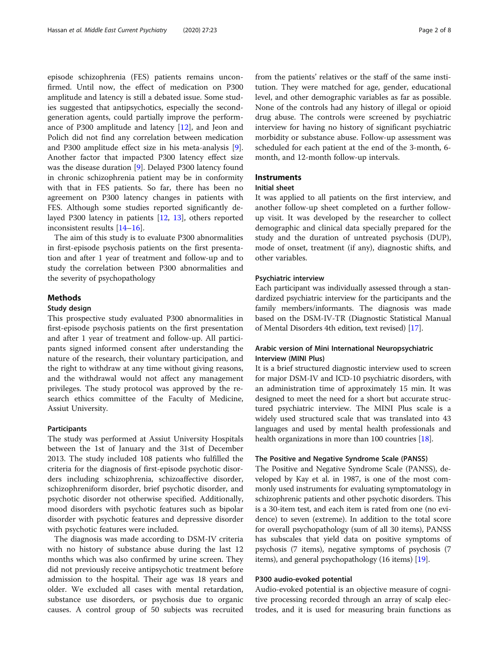episode schizophrenia (FES) patients remains unconfirmed. Until now, the effect of medication on P300 amplitude and latency is still a debated issue. Some studies suggested that antipsychotics, especially the secondgeneration agents, could partially improve the performance of P300 amplitude and latency [\[12](#page-6-0)], and Jeon and Polich did not find any correlation between medication and P300 amplitude effect size in his meta-analysis [\[9](#page-6-0)]. Another factor that impacted P300 latency effect size was the disease duration [\[9\]](#page-6-0). Delayed P300 latency found in chronic schizophrenia patient may be in conformity with that in FES patients. So far, there has been no agreement on P300 latency changes in patients with FES. Although some studies reported significantly delayed P300 latency in patients [[12](#page-6-0), [13\]](#page-6-0), others reported inconsistent results [[14](#page-6-0)–[16](#page-6-0)].

The aim of this study is to evaluate P300 abnormalities in first-episode psychosis patients on the first presentation and after 1 year of treatment and follow-up and to study the correlation between P300 abnormalities and the severity of psychopathology

# Methods

## Study design

This prospective study evaluated P300 abnormalities in first-episode psychosis patients on the first presentation and after 1 year of treatment and follow-up. All participants signed informed consent after understanding the nature of the research, their voluntary participation, and the right to withdraw at any time without giving reasons, and the withdrawal would not affect any management privileges. The study protocol was approved by the research ethics committee of the Faculty of Medicine, Assiut University.

# Participants

The study was performed at Assiut University Hospitals between the 1st of January and the 31st of December 2013. The study included 108 patients who fulfilled the criteria for the diagnosis of first-episode psychotic disorders including schizophrenia, schizoaffective disorder, schizophreniform disorder, brief psychotic disorder, and psychotic disorder not otherwise specified. Additionally, mood disorders with psychotic features such as bipolar disorder with psychotic features and depressive disorder with psychotic features were included.

The diagnosis was made according to DSM-IV criteria with no history of substance abuse during the last 12 months which was also confirmed by urine screen. They did not previously receive antipsychotic treatment before admission to the hospital. Their age was 18 years and older. We excluded all cases with mental retardation, substance use disorders, or psychosis due to organic causes. A control group of 50 subjects was recruited from the patients' relatives or the staff of the same institution. They were matched for age, gender, educational level, and other demographic variables as far as possible. None of the controls had any history of illegal or opioid drug abuse. The controls were screened by psychiatric interview for having no history of significant psychiatric morbidity or substance abuse. Follow-up assessment was scheduled for each patient at the end of the 3-month, 6 month, and 12-month follow-up intervals.

# **Instruments**

### Initial sheet

It was applied to all patients on the first interview, and another follow-up sheet completed on a further followup visit. It was developed by the researcher to collect demographic and clinical data specially prepared for the study and the duration of untreated psychosis (DUP), mode of onset, treatment (if any), diagnostic shifts, and other variables.

# Psychiatric interview

Each participant was individually assessed through a standardized psychiatric interview for the participants and the family members/informants. The diagnosis was made based on the DSM-IV-TR (Diagnostic Statistical Manual of Mental Disorders 4th edition, text revised) [\[17\]](#page-6-0).

# Arabic version of Mini International Neuropsychiatric Interview (MINI Plus)

It is a brief structured diagnostic interview used to screen for major DSM-IV and ICD-10 psychiatric disorders, with an administration time of approximately 15 min. It was designed to meet the need for a short but accurate structured psychiatric interview. The MINI Plus scale is a widely used structured scale that was translated into 43 languages and used by mental health professionals and health organizations in more than 100 countries [[18](#page-7-0)].

## The Positive and Negative Syndrome Scale (PANSS)

The Positive and Negative Syndrome Scale (PANSS), developed by Kay et al. in 1987, is one of the most commonly used instruments for evaluating symptomatology in schizophrenic patients and other psychotic disorders. This is a 30-item test, and each item is rated from one (no evidence) to seven (extreme). In addition to the total score for overall psychopathology (sum of all 30 items), PANSS has subscales that yield data on positive symptoms of psychosis (7 items), negative symptoms of psychosis (7 items), and general psychopathology (16 items) [\[19](#page-7-0)].

## P300 audio-evoked potential

Audio-evoked potential is an objective measure of cognitive processing recorded through an array of scalp electrodes, and it is used for measuring brain functions as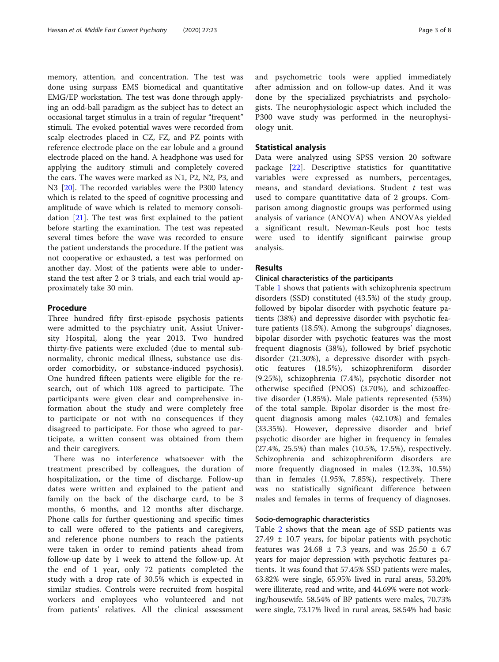memory, attention, and concentration. The test was done using surpass EMS biomedical and quantitative EMG/EP workstation. The test was done through applying an odd-ball paradigm as the subject has to detect an occasional target stimulus in a train of regular "frequent" stimuli. The evoked potential waves were recorded from scalp electrodes placed in CZ, FZ, and PZ points with reference electrode place on the ear lobule and a ground electrode placed on the hand. A headphone was used for applying the auditory stimuli and completely covered the ears. The waves were marked as N1, P2, N2, P3, and N3 [[20](#page-7-0)]. The recorded variables were the P300 latency which is related to the speed of cognitive processing and amplitude of wave which is related to memory consolidation [\[21\]](#page-7-0). The test was first explained to the patient before starting the examination. The test was repeated several times before the wave was recorded to ensure the patient understands the procedure. If the patient was not cooperative or exhausted, a test was performed on another day. Most of the patients were able to understand the test after 2 or 3 trials, and each trial would approximately take 30 min.

# Procedure

Three hundred fifty first-episode psychosis patients were admitted to the psychiatry unit, Assiut University Hospital, along the year 2013. Two hundred thirty-five patients were excluded (due to mental subnormality, chronic medical illness, substance use disorder comorbidity, or substance-induced psychosis). One hundred fifteen patients were eligible for the research, out of which 108 agreed to participate. The participants were given clear and comprehensive information about the study and were completely free to participate or not with no consequences if they disagreed to participate. For those who agreed to participate, a written consent was obtained from them and their caregivers.

There was no interference whatsoever with the treatment prescribed by colleagues, the duration of hospitalization, or the time of discharge. Follow-up dates were written and explained to the patient and family on the back of the discharge card, to be 3 months, 6 months, and 12 months after discharge. Phone calls for further questioning and specific times to call were offered to the patients and caregivers, and reference phone numbers to reach the patients were taken in order to remind patients ahead from follow-up date by 1 week to attend the follow-up. At the end of 1 year, only 72 patients completed the study with a drop rate of 30.5% which is expected in similar studies. Controls were recruited from hospital workers and employees who volunteered and not from patients' relatives. All the clinical assessment and psychometric tools were applied immediately after admission and on follow-up dates. And it was done by the specialized psychiatrists and psychologists. The neurophysiologic aspect which included the P300 wave study was performed in the neurophysiology unit.

## Statistical analysis

Data were analyzed using SPSS version 20 software package [[22\]](#page-7-0). Descriptive statistics for quantitative variables were expressed as numbers, percentages, means, and standard deviations. Student  $t$  test was used to compare quantitative data of 2 groups. Comparison among diagnostic groups was performed using analysis of variance (ANOVA) when ANOVAs yielded a significant result, Newman-Keuls post hoc tests were used to identify significant pairwise group analysis.

# **Results**

# Clinical characteristics of the participants

Table [1](#page-3-0) shows that patients with schizophrenia spectrum disorders (SSD) constituted (43.5%) of the study group, followed by bipolar disorder with psychotic feature patients (38%) and depressive disorder with psychotic feature patients (18.5%). Among the subgroups' diagnoses, bipolar disorder with psychotic features was the most frequent diagnosis (38%), followed by brief psychotic disorder (21.30%), a depressive disorder with psychotic features (18.5%), schizophreniform disorder (9.25%), schizophrenia (7.4%), psychotic disorder not otherwise specified (PNOS) (3.70%), and schizoaffective disorder (1.85%). Male patients represented (53%) of the total sample. Bipolar disorder is the most frequent diagnosis among males (42.10%) and females (33.35%). However, depressive disorder and brief psychotic disorder are higher in frequency in females (27.4%, 25.5%) than males (10.5%, 17.5%), respectively. Schizophrenia and schizophreniform disorders are more frequently diagnosed in males (12.3%, 10.5%) than in females (1.95%, 7.85%), respectively. There was no statistically significant difference between males and females in terms of frequency of diagnoses.

## Socio-demographic characteristics

Table [2](#page-3-0) shows that the mean age of SSD patients was  $27.49 \pm 10.7$  years, for bipolar patients with psychotic features was  $24.68 \pm 7.3$  years, and was  $25.50 \pm 6.7$ years for major depression with psychotic features patients. It was found that 57.45% SSD patients were males, 63.82% were single, 65.95% lived in rural areas, 53.20% were illiterate, read and write, and 44.69% were not working/housewife. 58.54% of BP patients were males, 70.73% were single, 73.17% lived in rural areas, 58.54% had basic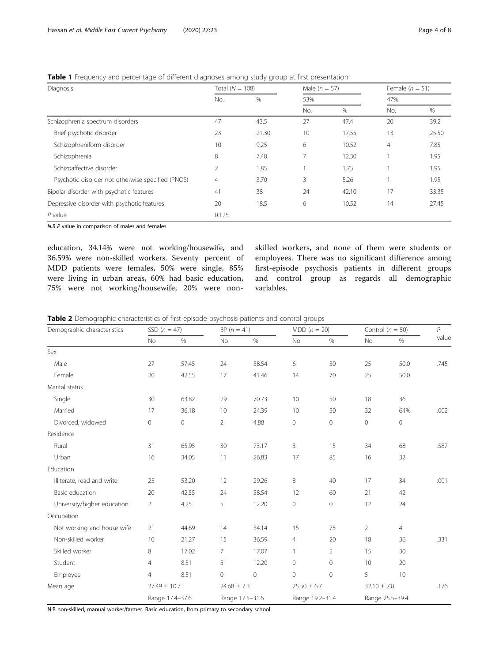| Diagnosis                                         | Total ( $N = 108$ ) |       | Male $(n = 57)$ |       | Female $(n = 51)$ |       |  |
|---------------------------------------------------|---------------------|-------|-----------------|-------|-------------------|-------|--|
|                                                   | No.                 | %     | 53%             |       | 47%               |       |  |
|                                                   |                     |       | No.             | $\%$  | No.               | $\%$  |  |
| Schizophrenia spectrum disorders                  | 47                  | 43.5  | 27              | 47.4  | 20                | 39.2  |  |
| Brief psychotic disorder                          | 23                  | 21.30 | 10              | 17.55 | 13                | 25.50 |  |
| Schizophreniform disorder                         | 10                  | 9.25  | 6               | 10.52 | $\overline{4}$    | 7.85  |  |
| Schizophrenia                                     | 8                   | 7.40  | 7               | 12.30 |                   | 1.95  |  |
| Schizoaffective disorder                          | $\overline{2}$      | 1.85  |                 | 1.75  |                   | 1.95  |  |
| Psychotic disorder not otherwise specified (PNOS) | $\overline{4}$      | 3.70  | 3               | 5.26  |                   | 1.95  |  |
| Bipolar disorder with psychotic features          | 41                  | 38    | 24              | 42.10 | 17                | 33.35 |  |
| Depressive disorder with psychotic features       | 20                  | 18.5  | 6               | 10.52 | 14                | 27.45 |  |
| $P$ value                                         | 0.125               |       |                 |       |                   |       |  |

<span id="page-3-0"></span>Table 1 Frequency and percentage of different diagnoses among study group at first presentation

N.B P value in comparison of males and females

education, 34.14% were not working/housewife, and 36.59% were non-skilled workers. Seventy percent of MDD patients were females, 50% were single, 85% were living in urban areas, 60% had basic education, 75% were not working/housewife, 20% were nonskilled workers, and none of them were students or employees. There was no significant difference among first-episode psychosis patients in different groups and control group as regards all demographic variables.

Table 2 Demographic characteristics of first-episode psychosis patients and control groups

| Demographic characteristics | SSD $(n = 47)$      |                 |                 | $BP (n = 41)$   |                 | $MDD (n = 20)$  |                 | Control ( $n = 50$ ) |       |
|-----------------------------|---------------------|-----------------|-----------------|-----------------|-----------------|-----------------|-----------------|----------------------|-------|
|                             | No                  | $\%$            | No              | $\%$            | No              | $\%$            | No              | $\%$                 | value |
| Sex                         |                     |                 |                 |                 |                 |                 |                 |                      |       |
| Male                        | 27                  | 57.45           | 24              | 58.54           | 6               | 30              | 25              | 50.0                 | .745  |
| Female                      | 20                  | 42.55           | 17              | 41.46           | 14              | 70              | 25              | 50.0                 |       |
| Marital status              |                     |                 |                 |                 |                 |                 |                 |                      |       |
| Single                      | 30                  | 63.82           | 29              | 70.73           | 10              | 50              | 18              | 36                   |       |
| Married                     | 17                  | 36.18           | 10              | 24.39           | 10              | 50              | 32              | 64%                  | .002  |
| Divorced, widowed           | $\mathsf{O}\xspace$ | $\circ$         | $\overline{2}$  | 4.88            | $\mathbf 0$     | $\mathbf 0$     | 0               | $\mathbf 0$          |       |
| Residence                   |                     |                 |                 |                 |                 |                 |                 |                      |       |
| Rural                       | 31                  | 65.95           | 30              | 73.17           | 3               | 15              | 34              | 68                   | .587  |
| Urban                       | 16                  | 34.05           | 11              | 26.83           | 17              | 85              | 16              | 32                   |       |
| Education                   |                     |                 |                 |                 |                 |                 |                 |                      |       |
| Illiterate, read and write  | 25                  | 53.20           | 12              | 29.26           | 8               | 40              | 17              | 34                   | .001  |
| Basic education             | 20                  | 42.55           | 24              | 58.54           | 12              | 60              | 21              | 42                   |       |
| University/higher education | $\overline{2}$      | 4.25            | 5               | 12.20           | $\mathbf 0$     | $\mathbf 0$     | 12              | 24                   |       |
| Occupation                  |                     |                 |                 |                 |                 |                 |                 |                      |       |
| Not working and house wife  | 21                  | 44.69           | 14              | 34.14           | 15              | 75              | $\overline{2}$  | $\overline{4}$       |       |
| Non-skilled worker          | 10                  | 21.27           | 15              | 36.59           | 4               | 20              | 18              | 36                   | .331  |
| Skilled worker              | 8                   | 17.02           | $\overline{7}$  | 17.07           | $\mathbf{1}$    | 5               | 15              | 30                   |       |
| Student                     | $\overline{4}$      | 8.51            | 5               | 12.20           | $\mathbf 0$     | $\circ$         | 10              | 20                   |       |
| Employee                    | $\overline{4}$      | 8.51            | $\mathbf 0$     | 0               | $\Omega$        | $\mathbf{0}$    | 5               | 10                   |       |
| Mean age                    | $27.49 \pm 10.7$    |                 | $24.68 \pm 7.3$ |                 | $25.50 \pm 6.7$ |                 | $32.10 \pm 7.8$ |                      | .176  |
|                             |                     | Range 17.4-37.6 |                 | Range 17.5-31.6 |                 | Range 19.2-31.4 |                 | Range 25.5-39.4      |       |

N.B non-skilled, manual worker/farmer. Basic education, from primary to secondary school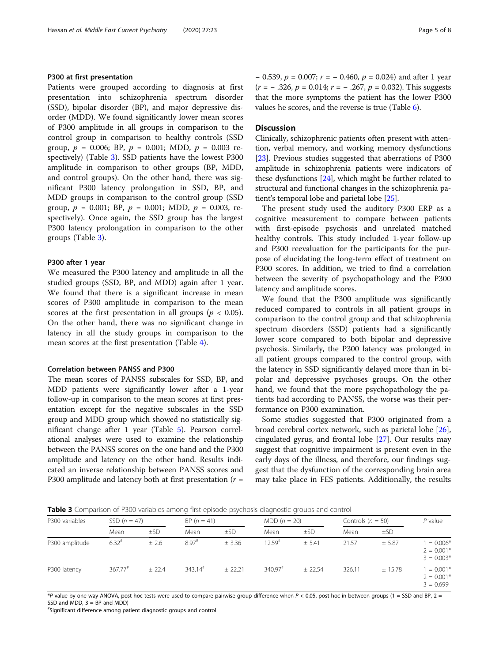## P300 at first presentation

Patients were grouped according to diagnosis at first presentation into schizophrenia spectrum disorder (SSD), bipolar disorder (BP), and major depressive disorder (MDD). We found significantly lower mean scores of P300 amplitude in all groups in comparison to the control group in comparison to healthy controls (SSD group,  $p = 0.006$ ; BP,  $p = 0.001$ ; MDD,  $p = 0.003$  respectively) (Table 3). SSD patients have the lowest P300 amplitude in comparison to other groups (BP, MDD, and control groups). On the other hand, there was significant P300 latency prolongation in SSD, BP, and MDD groups in comparison to the control group (SSD group,  $p = 0.001$ ; BP,  $p = 0.001$ ; MDD,  $p = 0.003$ , respectively). Once again, the SSD group has the largest P300 latency prolongation in comparison to the other groups (Table 3).

## P300 after 1 year

We measured the P300 latency and amplitude in all the studied groups (SSD, BP, and MDD) again after 1 year. We found that there is a significant increase in mean scores of P300 amplitude in comparison to the mean scores at the first presentation in all groups ( $p < 0.05$ ). On the other hand, there was no significant change in latency in all the study groups in comparison to the mean scores at the first presentation (Table [4](#page-5-0)).

# Correlation between PANSS and P300

The mean scores of PANSS subscales for SSD, BP, and MDD patients were significantly lower after a 1-year follow-up in comparison to the mean scores at first presentation except for the negative subscales in the SSD group and MDD group which showed no statistically significant change after 1 year (Table [5](#page-5-0)). Pearson correlational analyses were used to examine the relationship between the PANSS scores on the one hand and the P300 amplitude and latency on the other hand. Results indicated an inverse relationship between PANSS scores and P300 amplitude and latency both at first presentation ( $r =$ 

 $-$  0.539,  $p = 0.007$ ;  $r = -0.460$ ,  $p = 0.024$ ) and after 1 year  $(r = -.326, p = 0.014; r = -.267, p = 0.032)$ . This suggests that the more symptoms the patient has the lower P300 values he scores, and the reverse is true (Table [6\)](#page-6-0).

# **Discussion**

Clinically, schizophrenic patients often present with attention, verbal memory, and working memory dysfunctions [[23](#page-7-0)]. Previous studies suggested that aberrations of P300 amplitude in schizophrenia patients were indicators of these dysfunctions [\[24\]](#page-7-0), which might be further related to structural and functional changes in the schizophrenia patient's temporal lobe and parietal lobe [[25](#page-7-0)].

The present study used the auditory P300 ERP as a cognitive measurement to compare between patients with first-episode psychosis and unrelated matched healthy controls. This study included 1-year follow-up and P300 reevaluation for the participants for the purpose of elucidating the long-term effect of treatment on P300 scores. In addition, we tried to find a correlation between the severity of psychopathology and the P300 latency and amplitude scores.

We found that the P300 amplitude was significantly reduced compared to controls in all patient groups in comparison to the control group and that schizophrenia spectrum disorders (SSD) patients had a significantly lower score compared to both bipolar and depressive psychosis. Similarly, the P300 latency was prolonged in all patient groups compared to the control group, with the latency in SSD significantly delayed more than in bipolar and depressive psychoses groups. On the other hand, we found that the more psychopathology the patients had according to PANSS, the worse was their performance on P300 examination.

Some studies suggested that P300 originated from a broad cerebral cortex network, such as parietal lobe [\[26](#page-7-0)], cingulated gyrus, and frontal lobe [[27\]](#page-7-0). Our results may suggest that cognitive impairment is present even in the early days of the illness, and therefore, our findings suggest that the dysfunction of the corresponding brain area may take place in FES patients. Additionally, the results

**Table 3** Comparison of P300 variables among first-episode psychosis diagnostic groups and control

| P300 variables | SSD $(n = 47)$        |          |                       | $BP (n = 41)$ |                       | $MDD (n = 20)$ |        | Controls ( $n = 50$ ) |                                              |
|----------------|-----------------------|----------|-----------------------|---------------|-----------------------|----------------|--------|-----------------------|----------------------------------------------|
|                | Mean                  | $\pm$ SD | Mean                  | $\pm$ SD      | Mean                  | ±SD            | Mean   | ±SD                   |                                              |
| P300 amplitude | $6.32$ <sup>#</sup>   | ± 2.6    | $8.97$ <sup>#</sup>   | $±$ 3.36      | $12.59$ <sup>#</sup>  | $+5.41$        | 21.57  | ± 5.87                | $1 = 0.006*$<br>$2 = 0.001*$<br>$3 = 0.003*$ |
| P300 latency   | $367.77$ <sup>#</sup> | $+22.4$  | $343.14$ <sup>#</sup> | $+22.21$      | $340.97$ <sup>#</sup> | $+22.54$       | 326.11 | ± 15.78               | $1 = 0.001*$<br>$2 = 0.001*$<br>$3 = 0.699$  |

\*P value by one-way ANOVA, post hoc tests were used to compare pairwise group difference when  $P < 0.05$ , post hoc in between groups (1 = SSD and BP, 2 =  $SSD$  and MDD,  $3 = BP$  and MDD)

# Significant difference among patient diagnostic groups and control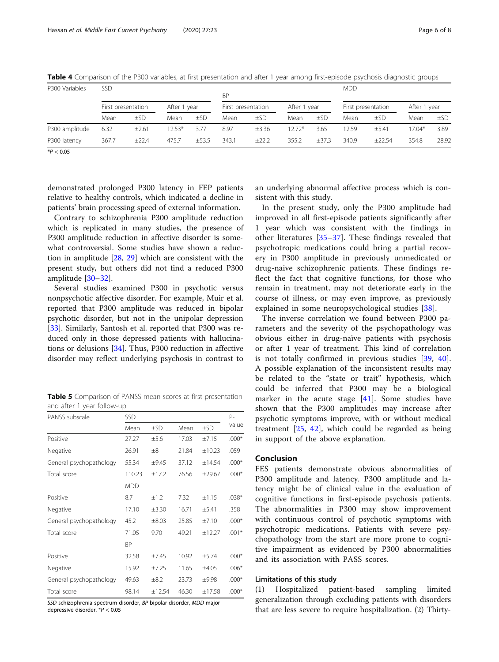| P300 Variables | <b>SSD</b>         |          |              |       | <b>BP</b> |                    |              |       | <b>MDD</b>         |            |              |       |
|----------------|--------------------|----------|--------------|-------|-----------|--------------------|--------------|-------|--------------------|------------|--------------|-------|
|                | First presentation |          | After 1 year |       |           | First presentation | After 1 year |       | First presentation |            | After 1 year |       |
|                | Mean               | $\pm$ SD | Mean         | ±SD   | Mean      | ±SD                | Mean         | ±SD   | Mean               | ±SD        | Mean         | ±SD   |
| P300 amplitude | 6.32               | ±2.61    | $12.53*$     | 3.77  | 8.97      | $\pm 3.36$         | $12.72*$     | 3.65  | 12.59              | $\pm$ 5.41 | $17.04*$     | 3.89  |
| P300 latency   | 367.7              | ±22.4    | 475.7        | ±53.5 | 343.1     | ±22.2              | 355.2        | ±37.3 | 340.9              | ±22.54     | 354.8        | 28.92 |

<span id="page-5-0"></span>Table 4 Comparison of the P300 variables, at first presentation and after 1 year among first-episode psychosis diagnostic groups

 $*P < 0.05$ 

demonstrated prolonged P300 latency in FEP patients relative to healthy controls, which indicated a decline in patients' brain processing speed of external information.

Contrary to schizophrenia P300 amplitude reduction which is replicated in many studies, the presence of P300 amplitude reduction in affective disorder is somewhat controversial. Some studies have shown a reduction in amplitude [[28](#page-7-0), [29\]](#page-7-0) which are consistent with the present study, but others did not find a reduced P300 amplitude [[30](#page-7-0)–[32](#page-7-0)].

Several studies examined P300 in psychotic versus nonpsychotic affective disorder. For example, Muir et al. reported that P300 amplitude was reduced in bipolar psychotic disorder, but not in the unipolar depression [[33\]](#page-7-0). Similarly, Santosh et al. reported that P300 was reduced only in those depressed patients with hallucinations or delusions [[34\]](#page-7-0). Thus, P300 reduction in affective disorder may reflect underlying psychosis in contrast to

Table 5 Comparison of PANSS mean scores at first presentation and after 1 year follow-up

| SSD        |            |       |        |         |  |
|------------|------------|-------|--------|---------|--|
| Mean       | $\pm$ SD   | Mean  | ±SD    | value   |  |
| 27.27      | ±5.6       | 17.03 | ±7.15  | $.000*$ |  |
| 26.91      | $\pm 8$    | 21.84 | ±10.23 | .059    |  |
| 55.34      | $\pm 9.45$ | 37.12 | ±14.54 | $.000*$ |  |
| 110.23     | ±17.2      | 76.56 | ±29.67 | $.000*$ |  |
| <b>MDD</b> |            |       |        |         |  |
| 8.7        | ±1.2       | 7.32  | ±1.15  | $.038*$ |  |
| 17.10      | $\pm 3.30$ | 16.71 | ±5.41  | .358    |  |
| 45.2       | $\pm 8.03$ | 25.85 | ±7.10  | $.000*$ |  |
| 71.05      | 9.70       | 49.21 | ±12.27 | $.001*$ |  |
| <b>BP</b>  |            |       |        |         |  |
| 32.58      | $\pm 7.45$ | 10.92 | ±5.74  | $.000*$ |  |
| 15.92      | ±7.25      | 11.65 | ±4.05  | $.006*$ |  |
| 49.63      | $\pm 8.2$  | 23.73 | ±9.98  | $.000*$ |  |
| 98.14      | ±12.54     | 46.30 | ±17.58 | $.000*$ |  |
|            |            |       |        |         |  |

SSD schizophrenia spectrum disorder, BP bipolar disorder, MDD major depressive disorder. \*P < 0.05

an underlying abnormal affective process which is consistent with this study.

In the present study, only the P300 amplitude had improved in all first-episode patients significantly after 1 year which was consistent with the findings in other literatures [[35](#page-7-0)–[37\]](#page-7-0). These findings revealed that psychotropic medications could bring a partial recovery in P300 amplitude in previously unmedicated or drug-naive schizophrenic patients. These findings reflect the fact that cognitive functions, for those who remain in treatment, may not deteriorate early in the course of illness, or may even improve, as previously explained in some neuropsychological studies [\[38](#page-7-0)].

The inverse correlation we found between P300 parameters and the severity of the psychopathology was obvious either in drug-naïve patients with psychosis or after 1 year of treatment. This kind of correlation is not totally confirmed in previous studies [[39,](#page-7-0) [40](#page-7-0)]. A possible explanation of the inconsistent results may be related to the "state or trait" hypothesis, which could be inferred that P300 may be a biological marker in the acute stage [\[41](#page-7-0)]. Some studies have shown that the P300 amplitudes may increase after psychotic symptoms improve, with or without medical treatment [\[25](#page-7-0), [42](#page-7-0)], which could be regarded as being in support of the above explanation.

# Conclusion

FES patients demonstrate obvious abnormalities of P300 amplitude and latency. P300 amplitude and latency might be of clinical value in the evaluation of cognitive functions in first-episode psychosis patients. The abnormalities in P300 may show improvement with continuous control of psychotic symptoms with psychotropic medications. Patients with severe psychopathology from the start are more prone to cognitive impairment as evidenced by P300 abnormalities and its association with PASS scores.

# Limitations of this study

(1) Hospitalized patient-based sampling limited generalization through excluding patients with disorders that are less severe to require hospitalization. (2) Thirty-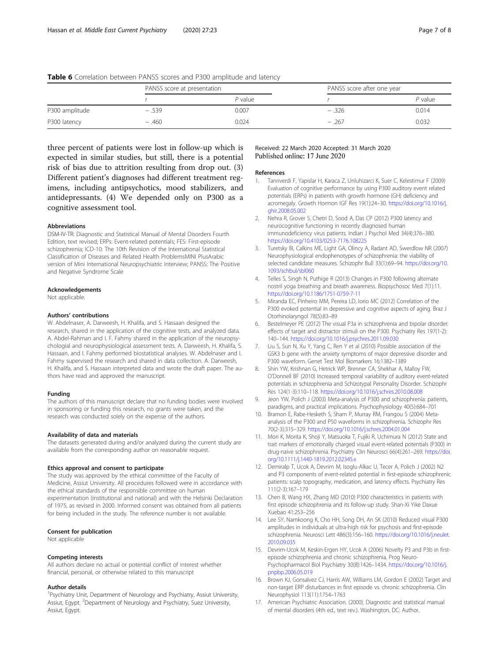|                | PANSS score at presentation |         | PANSS score after one year |           |  |
|----------------|-----------------------------|---------|----------------------------|-----------|--|
|                |                             | P value |                            | $P$ value |  |
| P300 amplitude | $-0.539$                    | 0.007   | $-.326$                    | 0.014     |  |
| P300 latency   | $-.460$                     | 0.024   | $-.267$                    | 0.032     |  |

<span id="page-6-0"></span>

| Table 6 Correlation between PANSS scores and P300 amplitude and latency |  |  |  |
|-------------------------------------------------------------------------|--|--|--|
|-------------------------------------------------------------------------|--|--|--|

three percent of patients were lost in follow-up which is expected in similar studies, but still, there is a potential risk of bias due to attrition resulting from drop out. (3) Different patient's diagnoses had different treatment regimens, including antipsychotics, mood stabilizers, and antidepressants. (4) We depended only on P300 as a cognitive assessment tool.

#### Abbreviations

DSM-IV-TR: Diagnostic and Statistical Manual of Mental Disorders Fourth Edition, text revised; ERPs: Event-related potentials; FES: First-episode schizophrenia; ICD-10: The 10th Revision of the International Statistical Classification of Diseases and Related Health ProblemsMINI PlusArabic version of Mini International Neuropsychiatric Interview; PANSS: The Positive and Negative Syndrome Scale

#### Acknowledgements

Not applicable.

#### Authors' contributions

W. Abdelnaser, A. Darweesh, H. Khalifa, and S. Hassaan designed the research, shared in the application of the cognitive tests, and analyzed data. A. Abdel-Rahman and I. F. Fahmy shared in the application of the neuropsychologial and neurophysiological assessment tests. A. Darweesh, H. Khalifa, S. Hassaan, and I. Fahmy performed biostatistical analyses. W. Abdelnaser and I. Fahmy supervised the research and shared in data collection. A. Darweesh, H. Khalifa, and S. Hassaan interpreted data and wrote the draft paper. The authors have read and approved the manuscript.

## Funding

The authors of this manuscript declare that no funding bodies were involved in sponsoring or funding this research, no grants were taken, and the research was conducted solely on the expense of the authors.

#### Availability of data and materials

The datasets generated during and/or analyzed during the current study are available from the corresponding author on reasonable request.

#### Ethics approval and consent to participate

The study was approved by the ethical committee of the Faculty of Medicine, Assiut University. All procedures followed were in accordance with the ethical standards of the responsible committee on human experimentation (institutional and national) and with the Helsinki Declaration of 1975, as revised in 2000. Informed consent was obtained from all patients for being included in the study. The reference number is not available.

#### Consent for publication

Not applicable

#### Competing interests

All authors declare no actual or potential conflict of interest whether financial, personal, or otherwise related to this manuscript

#### Author details

<sup>1</sup> Psychiatry Unit, Department of Neurology and Psychiatry, Assiut University, Assiut, Egypt. <sup>2</sup>Department of Neurology and Psychiatry, Suez University, Assiut, Egypt.

## Received: 22 March 2020 Accepted: 31 March 2020 Published online: 17 June 2020

#### References

- 1. Tanriverdi F, Yapislar H, Karaca Z, Unluhizarci K, Suer C, Kelestimur F (2009) Evaluation of cognitive performance by using P300 auditory event related potentials (ERPs) in patients with growth hormone (GH) deficiency and acromegaly. Growth Hormon IGF Res 19(1):24–30. [https://doi.org/10.1016/j.](https://doi.org/10.1016/j.ghir.2008.05.002) [ghir.2008.05.002](https://doi.org/10.1016/j.ghir.2008.05.002)
- 2. Nehra R, Grover S, Chetri D, Sood A, Das CP (2012) P300 latency and neurocognitive functioning in recently diagnosed human immunodeficiency virus patients. Indian J Psychol Med 34(4):376–380. <https://doi.org/10.4103/0253-7176.108225>
- 3. Turetsky BI, Calkins ME, Light GA, Olincy A, Radant AD, Swerdlow NR (2007) Neurophysiological endophenotypes of schizophrenia: the viability of selected candidate measures. Schizophr Bull 33(1):69–94. [https://doi.org/10.](https://doi.org/10.1093/schbul/sbl060) [1093/schbul/sbl060](https://doi.org/10.1093/schbul/sbl060)
- Telles S, Singh N, Puthige R (2013) Changes in P300 following alternate nostril yoga breathing and breath awareness. Biopsychosoc Med 7(1):11. <https://doi.org/10.1186/1751-0759-7-11>
- 5. Miranda EC, Pinheiro MM, Pereira LD, Iorio MC (2012) Correlation of the P300 evoked potential in depressive and cognitive aspects of aging. Braz J Otorhinolaryngol 78(5):83–89
- 6. Bestelmeyer PE (2012) The visual P3a in schizophrenia and bipolar disorder: effects of target and distractor stimuli on the P300. Psychiatry Res 197(1-2): 140–144. <https://doi.org/10.1016/j.psychres.2011.09.030>
- 7. Liu S, Sun N, Xu Y, Yang C, Ren Y et al (2010) Possible association of the GSK3 b gene with the anxiety symptoms of major depressive disorder and P300 waveform. Genet Test Mol Biomarkers 16:1382–1389
- 8. Shin YW, Krishnan G, Hetrick WP, Brenner CA, Shekhar A, Malloy FW, O'Donnell BF (2010) Increased temporal variability of auditory event-related potentials in schizophrenia and Schizotypal Personality Disorder. Schizophr Res 124(1-3):110–118. <https://doi.org/10.1016/j.schres.2010.08.008>
- 9. Jeon YW, Polich J (2003) Meta-analysis of P300 and schizophrenia: patients, paradigms, and practical implications. Psychophysiology 40(5):684–701
- 10. Bramon E, Rabe-Hesketh S, Sham P, Murray RM, Frangou S (2004) Metaanalysis of the P300 and P50 waveforms in schizophrenia. Schizophr Res 70(2-3):315–329. <https://doi.org/10.1016/j.schres.2004.01.004>
- 11. Mori K, Morita K, Shoji Y, Matsuoka T, Fujiki R, Uchimura N (2012) State and trait markers of emotionally charged visual event-related potentials (P300) in drug-naive schizophrenia. Psychiatry Clin Neurosci 66(4):261–269. [https://doi.](https://doi.org/10.1111/j.1440-1819.2012.02345.x) [org/10.1111/j.1440-1819.2012.02345.x](https://doi.org/10.1111/j.1440-1819.2012.02345.x)
- 12. Demiralp T, Ucok A, Devrim M, Isoglu-Alkac U, Tecer A, Polich J (2002) N2 and P3 components of event-related potential in first-episode schizophrenic patients: scalp topography, medication, and latency effects. Psychiatry Res 111(2-3):167–179
- 13. Chen B, Wang HX, Zhang MD (2010) P300 characteristics in patients with first episode schizophrenia and its follow-up study. Shan-Xi Yike Daxue Xuebao 41:253–256
- 14. Lee SY, Namkoong K, Cho HH, Song DH, An SK (2010) Reduced visual P300 amplitudes in individuals at ultra-high risk for psychosis and first-episode schizophrenia. Neurosci Lett 486(3):156–160. [https://doi.org/10.1016/j.neulet.](https://doi.org/10.1016/j.neulet.2010.09.035) [2010.09.035](https://doi.org/10.1016/j.neulet.2010.09.035)
- 15. Devrim-Ucok M, Keskin-Ergen HY, Ucok A (2006) Novelty P3 and P3b in firstepisode schizophrenia and chronic schizophrenia. Prog Neuro-Psychopharmacol Biol Psychiatry 30(8):1426–1434. [https://doi.org/10.1016/j.](https://doi.org/10.1016/j.pnpbp.2006.05.019) [pnpbp.2006.05.019](https://doi.org/10.1016/j.pnpbp.2006.05.019)
- 16. Brown KJ, Gonsalvez CJ, Harris AW, Williams LM, Gordon E (2002) Target and non-target ERP disturbances in first episode vs. chronic schizophrenia. Clin Neurophysiol 113(11):1754–1763
- 17. American Psychiatric Association. (2000). Diagnostic and statistical manual of mental disorders (4th ed., text rev.). Washington, DC: Author.